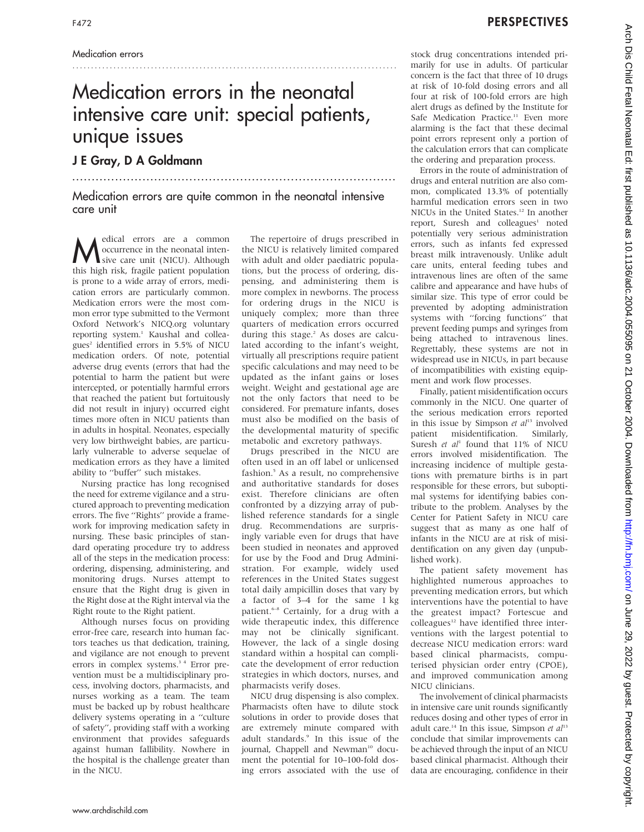#### Medication errors .......................................................................................

# Medication errors in the neonatal intensive care unit: special patients, unique issues

# J E Gray, D A Goldmann

Medication errors are quite common in the neonatal intensive care unit

...................................................................................

Medical errors are a common<br>sive care unit (NICU). Although<br>this high right fracile nationt population occurrence in the neonatal intenthis high risk, fragile patient population is prone to a wide array of errors, medication errors are particularly common. Medication errors were the most common error type submitted to the Vermont Oxford Network's NICQ.org voluntary reporting system.<sup>1</sup> Kaushal and colleagues<sup>2</sup> identified errors in 5.5% of NICU medication orders. Of note, potential adverse drug events (errors that had the potential to harm the patient but were intercepted, or potentially harmful errors that reached the patient but fortuitously did not result in injury) occurred eight times more often in NICU patients than in adults in hospital. Neonates, especially very low birthweight babies, are particularly vulnerable to adverse sequelae of medication errors as they have a limited ability to ''buffer'' such mistakes.

Nursing practice has long recognised the need for extreme vigilance and a structured approach to preventing medication errors. The five ''Rights'' provide a framework for improving medication safety in nursing. These basic principles of standard operating procedure try to address all of the steps in the medication process: ordering, dispensing, administering, and monitoring drugs. Nurses attempt to ensure that the Right drug is given in the Right dose at the Right interval via the Right route to the Right patient.

Although nurses focus on providing error-free care, research into human factors teaches us that dedication, training, and vigilance are not enough to prevent errors in complex systems.<sup>3</sup> 4</sup> Error prevention must be a multidisciplinary process, involving doctors, pharmacists, and nurses working as a team. The team must be backed up by robust healthcare delivery systems operating in a ''culture of safety'', providing staff with a working environment that provides safeguards against human fallibility. Nowhere in the hospital is the challenge greater than in the NICU.

The repertoire of drugs prescribed in the NICU is relatively limited compared with adult and older paediatric populations, but the process of ordering, dispensing, and administering them is more complex in newborns. The process for ordering drugs in the NICU is uniquely complex; more than three quarters of medication errors occurred during this stage.<sup>2</sup> As doses are calculated according to the infant's weight, virtually all prescriptions require patient specific calculations and may need to be updated as the infant gains or loses weight. Weight and gestational age are not the only factors that need to be considered. For premature infants, doses must also be modified on the basis of the developmental maturity of specific metabolic and excretory pathways.

Drugs prescribed in the NICU are often used in an off label or unlicensed fashion.<sup>5</sup> As a result, no comprehensive and authoritative standards for doses exist. Therefore clinicians are often confronted by a dizzying array of published reference standards for a single drug. Recommendations are surprisingly variable even for drugs that have been studied in neonates and approved for use by the Food and Drug Administration. For example, widely used references in the United States suggest total daily ampicillin doses that vary by a factor of 3–4 for the same 1 kg patient.<sup>6-8</sup> Certainly, for a drug with a wide therapeutic index, this difference may not be clinically significant. However, the lack of a single dosing standard within a hospital can complicate the development of error reduction strategies in which doctors, nurses, and pharmacists verify doses.

NICU drug dispensing is also complex. Pharmacists often have to dilute stock solutions in order to provide doses that are extremely minute compared with adult standards.9 In this issue of the journal, Chappell and Newman<sup>10</sup> document the potential for 10–100-fold dosing errors associated with the use of

stock drug concentrations intended primarily for use in adults. Of particular concern is the fact that three of 10 drugs at risk of 10-fold dosing errors and all four at risk of 100-fold errors are high alert drugs as defined by the Institute for Safe Medication Practice.<sup>11</sup> Even more alarming is the fact that these decimal point errors represent only a portion of the calculation errors that can complicate the ordering and preparation process.

Errors in the route of administration of drugs and enteral nutrition are also common, complicated 13.3% of potentially harmful medication errors seen in two NICUs in the United States.12 In another report, Suresh and colleagues<sup>1</sup> noted potentially very serious administration errors, such as infants fed expressed breast milk intravenously. Unlike adult care units, enteral feeding tubes and intravenous lines are often of the same calibre and appearance and have hubs of similar size. This type of error could be prevented by adopting administration systems with ''forcing functions'' that prevent feeding pumps and syringes from being attached to intravenous lines. Regrettably, these systems are not in widespread use in NICUs, in part because of incompatibilities with existing equipment and work flow processes.

Finally, patient misidentification occurs commonly in the NICU. One quarter of the serious medication errors reported in this issue by Simpson et  $al<sup>13</sup>$  involved patient misidentification. Similarly, Suresh et  $al<sup>1</sup>$  found that 11% of NICU errors involved misidentification. The increasing incidence of multiple gestations with premature births is in part responsible for these errors, but suboptimal systems for identifying babies contribute to the problem. Analyses by the Center for Patient Safety in NICU care suggest that as many as one half of infants in the NICU are at risk of misidentification on any given day (unpublished work).

The patient safety movement has highlighted numerous approaches to preventing medication errors, but which interventions have the potential to have the greatest impact? Fortescue and colleagues<sup>12</sup> have identified three interventions with the largest potential to decrease NICU medication errors: ward based clinical pharmacists, computerised physician order entry (CPOE), and improved communication among NICU clinicians.

The involvement of clinical pharmacists in intensive care unit rounds significantly reduces dosing and other types of error in adult care.<sup>14</sup> In this issue, Simpson et  $al<sup>13</sup>$ conclude that similar improvements can be achieved through the input of an NICU based clinical pharmacist. Although their data are encouraging, confidence in their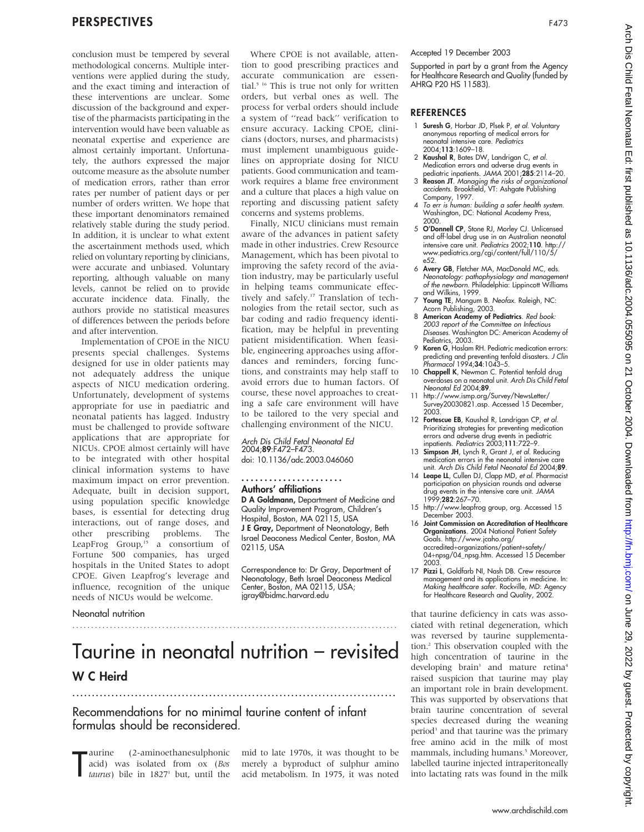conclusion must be tempered by several methodological concerns. Multiple interventions were applied during the study, and the exact timing and interaction of these interventions are unclear. Some discussion of the background and expertise of the pharmacists participating in the intervention would have been valuable as neonatal expertise and experience are almost certainly important. Unfortunately, the authors expressed the major outcome measure as the absolute number of medication errors, rather than error rates per number of patient days or per number of orders written. We hope that these important denominators remained relatively stable during the study period. In addition, it is unclear to what extent the ascertainment methods used, which relied on voluntary reporting by clinicians, were accurate and unbiased. Voluntary reporting, although valuable on many levels, cannot be relied on to provide accurate incidence data. Finally, the authors provide no statistical measures of differences between the periods before and after intervention.

Implementation of CPOE in the NICU presents special challenges. Systems designed for use in older patients may not adequately address the unique aspects of NICU medication ordering. Unfortunately, development of systems appropriate for use in paediatric and neonatal patients has lagged. Industry must be challenged to provide software applications that are appropriate for NICUs. CPOE almost certainly will have to be integrated with other hospital clinical information systems to have maximum impact on error prevention. Adequate, built in decision support, using population specific knowledge bases, is essential for detecting drug interactions, out of range doses, and other prescribing problems. The LeapFrog Group,<sup>15</sup> a consortium of Fortune 500 companies, has urged hospitals in the United States to adopt CPOE. Given Leapfrog's leverage and influence, recognition of the unique needs of NICUs would be welcome.

#### Neonatal nutrition

Where CPOE is not available, attention to good prescribing practices and accurate communication are essential.<sup>5 16</sup> This is true not only for written orders, but verbal ones as well. The process for verbal orders should include a system of ''read back'' verification to ensure accuracy. Lacking CPOE, clinicians (doctors, nurses, and pharmacists) must implement unambiguous guidelines on appropriate dosing for NICU patients. Good communication and teamwork requires a blame free environment and a culture that places a high value on reporting and discussing patient safety concerns and systems problems.

Finally, NICU clinicians must remain aware of the advances in patient safety made in other industries. Crew Resource Management, which has been pivotal to improving the safety record of the aviation industry, may be particularly useful in helping teams communicate effectively and safely.<sup>17</sup> Translation of technologies from the retail sector, such as bar coding and radio frequency identification, may be helpful in preventing patient misidentification. When feasible, engineering approaches using affordances and reminders, forcing functions, and constraints may help staff to avoid errors due to human factors. Of course, these novel approaches to creating a safe care environment will have to be tailored to the very special and challenging environment of the NICU.

Arch Dis Child Fetal Neonatal Ed 2004;89:F472–F473. doi: 10.1136/adc.2003.046060

#### Authors' affiliations ......................

D A Goldmann, Department of Medicine and Quality Improvement Program, Children's Hospital, Boston, MA 02115, USA J E Gray, Department of Neonatology, Beth Israel Deaconess Medical Center, Boston, MA 02115, USA

Correspondence to: Dr Gray, Department of Neonatology, Beth Israel Deaconess Medical Center, Boston, MA 02115, USA; jgray@bidmc.harvard.edu

Accepted 19 December 2003

Supported in part by a grant from the Agency for Healthcare Research and Quality (funded by AHRQ P20 HS 11583).

## REFERENCES

- 1 Suresh G, Horbar JD, Plsek P, et al. Voluntary anonymous reporting of medical errors for neonatal intensive care. Pediatrics 2004;113:1609–18.
- 2 Kaushal R, Bates DW, Landrigan C, et al. Medication errors and adverse drug events in pediatric inpatients. JAMA 2001;285:2114–20.
- 3 Reason JT. Managing the risks of organizational accidents. Brookfield, VT: Ashgate Publishing Company, 1997.
- 4 To err is human: building a safer health system. Washington, DC: National Academy Press, 2000.
- 5 O'Donnell CP, Stone RJ, Morley CJ. Unlicensed and off-label drug use in an Australian neonatal intensive care unit. Pediatrics 2002;110. http:// www.pediatrics.org/cgi/content/full/110/5/ e52.
- 6 Avery GB, Fletcher MA, MacDonald MC, eds. Neonatology: pathophysiology and management of the newborn. Philadelphia: Lippincott Williams and Wilkins, 1999.
- 7 Young TE, Mangum B. Neofax. Raleigh, NC: Acorn Publishing, 2003.
- 8 American Academy of Pediatrics. Red book: 2003 report of the Committee on Infectious Diseases. Washington DC: American Academy of Pediatrics, 2003.
- 9 Koren G, Haslam RH. Pediatric medication errors: predicting and preventing tenfold disasters. J Clin Pharmacol 1994;34:1043–5.
- 10 **Chappell K**, Newman C. Potential tenfold drug overdoses on a neonatal unit. Arch Dis Child Fetal Neonatal Ed 2004;89.
- 11 http://www.ismp.org/Survey/NewsLetter/ Survey20030821.asp. Accessed 15 December, 2003.
- 12 Fortescue EB, Kaushal R, Landrigan CP, et al. Prioritizing strategies for preventing medication errors and adverse drug events in pediatric inpatients. Pediatrics 2003;111:722–9.
- 13 Simpson JH, Lynch R, Grant J, et al. Reducing medication errors in the neonatal intensive care unit. Arch Dis Child Fetal Neonatal Ed 2004;89.
- 14 Leape LL, Cullen DJ, Clapp MD, et al. Pharmacist participation on physician rounds and adverse drug events in the intensive care unit. JAMA 1999;282:267-70.
- 15 http://www.leapfrog group, org. Accessed 15 December 2003.
- 16 Joint Commission on Accreditation of Healthcare Organizations. 2004 National Patient Safety Goals. http://www.jcaho.org/ accredited+organizations/patient+safety/ 04+npsg/04\_npsg.htm. Accessed 15 December 2003.
- 17 Pizzi L, Goldfarb NI, Nash DB. Crew resource management and its applications in medicine. In: Making healthcare safer. Rockville, MD: Agency for Healthcare Research and Quality, 2002.

that taurine deficiency in cats was associated with retinal degeneration, which was reversed by taurine supplementation.2 This observation coupled with the high concentration of taurine in the developing brain<sup>3</sup> and mature retina<sup>4</sup> raised suspicion that taurine may play an important role in brain development. This was supported by observations that brain taurine concentration of several species decreased during the weaning period<sup>3</sup> and that taurine was the primary free amino acid in the milk of most mammals, including humans.<sup>5</sup> Moreover, labelled taurine injected intraperitoneally into lactating rats was found in the milk

Taurine in neonatal nutrition – revisited W C Heird ...................................................................................

.......................................................................................

Recommendations for no minimal taurine content of infant formulas should be reconsidered.

T aurine (2-aminoethanesulphonic acid) was isolated from ox (Bos  $taurus$ ) bile in  $1827<sup>1</sup>$  but, until the

mid to late 1970s, it was thought to be merely a byproduct of sulphur amino acid metabolism. In 1975, it was noted